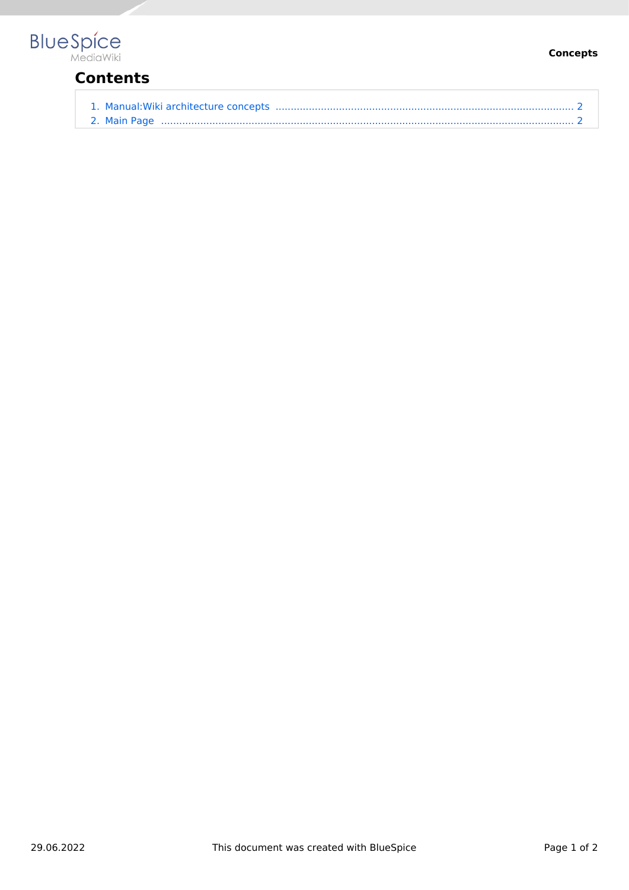## **BlueSpice**

## **Contents**